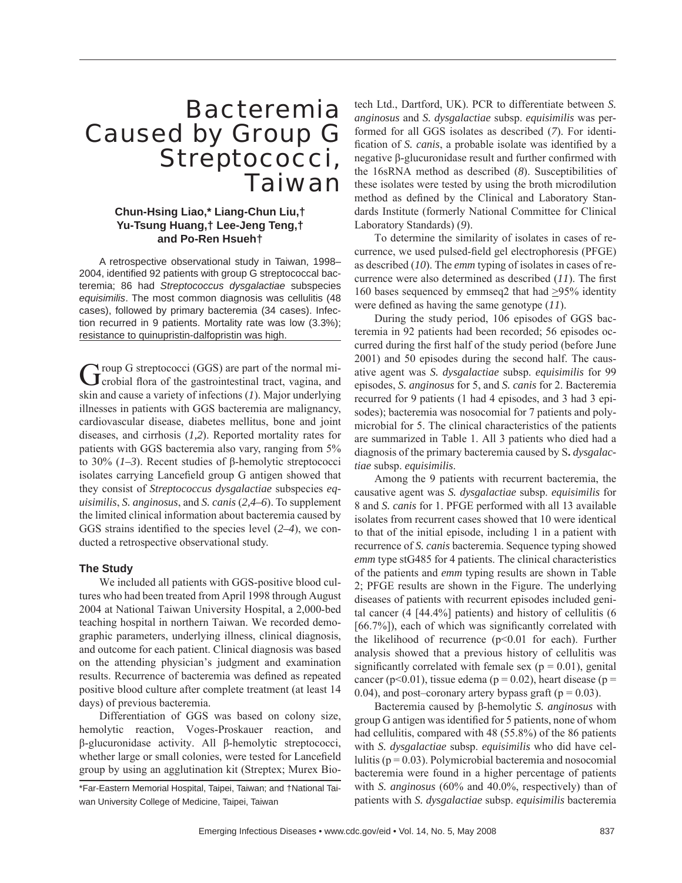# Bacteremia Caused by Group G Streptococci, **Taiwan**

# **Chun-Hsing Liao,\* Liang-Chun Liu,† Yu-Tsung Huang,† Lee-Jeng Teng,† and Po-Ren Hsueh†**

A retrospective observational study in Taiwan, 1998– 2004, identified 92 patients with group G streptococcal bacteremia; 86 had *Streptococcus dysgalactiae* subspecies *equisimilis*. The most common diagnosis was cellulitis (48 cases), followed by primary bacteremia (34 cases). Infection recurred in 9 patients. Mortality rate was low (3.3%); resistance to quinupristin-dalfopristin was high.

Group G streptococci (GGS) are part of the normal mi-<br>
Grobial flora of the gastrointestinal tract, vagina, and skin and cause a variety of infections (*1*). Major underlying illnesses in patients with GGS bacteremia are malignancy, cardiovascular disease, diabetes mellitus, bone and joint diseases, and cirrhosis (*1,2*). Reported mortality rates for patients with GGS bacteremia also vary, ranging from 5% to 30% (*1–3*). Recent studies of β-hemolytic streptococci isolates carrying Lancefield group G antigen showed that they consist of *Streptococcus dysgalactiae* subspecies *equisimilis*, *S. anginosus*, and *S. canis* (*2,4–6*). To supplement the limited clinical information about bacteremia caused by GGS strains identified to the species level  $(2-4)$ , we conducted a retrospective observational study.

## **The Study**

We included all patients with GGS-positive blood cultures who had been treated from April 1998 through August 2004 at National Taiwan University Hospital, a 2,000-bed teaching hospital in northern Taiwan. We recorded demographic parameters, underlying illness, clinical diagnosis, and outcome for each patient. Clinical diagnosis was based on the attending physician's judgment and examination results. Recurrence of bacteremia was defined as repeated positive blood culture after complete treatment (at least 14 days) of previous bacteremia.

Differentiation of GGS was based on colony size, hemolytic reaction, Voges-Proskauer reaction, and β-glucuronidase activity. All β-hemolytic streptococci, whether large or small colonies, were tested for Lancefield group by using an agglutination kit (Streptex; Murex Biotech Ltd., Dartford, UK). PCR to differentiate between *S. anginosus* and *S. dysgalactiae* subsp. *equisimilis* was performed for all GGS isolates as described (*7*). For identification of *S. canis*, a probable isolate was identified by a negative β-glucuronidase result and further confirmed with the 16sRNA method as described (*8*). Susceptibilities of these isolates were tested by using the broth microdilution method as defined by the Clinical and Laboratory Standards Institute (formerly National Committee for Clinical Laboratory Standards) (*9*).

To determine the similarity of isolates in cases of recurrence, we used pulsed-field gel electrophoresis (PFGE) as described (*10*). The *emm* typing of isolates in cases of recurrence were also determined as described (11). The first 160 bases sequenced by emmseq2 that had >95% identity were defined as having the same genotype (11).

During the study period, 106 episodes of GGS bacteremia in 92 patients had been recorded; 56 episodes occurred during the first half of the study period (before June 2001) and 50 episodes during the second half. The causative agent was *S. dysgalactiae* subsp. *equisimilis* for 99 episodes, *S. anginosus* for 5, and *S. canis* for 2. Bacteremia recurred for 9 patients (1 had 4 episodes, and 3 had 3 episodes); bacteremia was nosocomial for 7 patients and polymicrobial for 5. The clinical characteristics of the patients are summarized in Table 1. All 3 patients who died had a diagnosis of the primary bacteremia caused by S**.** *dysgalactiae* subsp. *equisimilis*.

Among the 9 patients with recurrent bacteremia, the causative agent was *S. dysgalactiae* subsp. *equisimilis* for 8 and *S. canis* for 1. PFGE performed with all 13 available isolates from recurrent cases showed that 10 were identical to that of the initial episode, including 1 in a patient with recurrence of *S. canis* bacteremia. Sequence typing showed *emm* type stG485 for 4 patients. The clinical characteristics of the patients and *emm* typing results are shown in Table 2; PFGE results are shown in the Figure. The underlying diseases of patients with recurrent episodes included genital cancer (4 [44.4%] patients) and history of cellulitis (6  $[66.7\%]$ , each of which was significantly correlated with the likelihood of recurrence  $(p<0.01$  for each). Further analysis showed that a previous history of cellulitis was significantly correlated with female sex ( $p = 0.01$ ), genital cancer (p<0.01), tissue edema (p = 0.02), heart disease (p = 0.04), and post–coronary artery bypass graft ( $p = 0.03$ ).

Bacteremia caused by β-hemolytic *S. anginosus* with group G antigen was identified for 5 patients, none of whom had cellulitis, compared with 48 (55.8%) of the 86 patients with *S. dysgalactiae* subsp. *equisimilis* who did have cellulitis ( $p = 0.03$ ). Polymicrobial bacteremia and nosocomial bacteremia were found in a higher percentage of patients with *S. anginosus* (60% and 40.0%, respectively) than of patients with *S. dysgalactiae* subsp. *equisimilis* bacteremia

<sup>\*</sup>Far-Eastern Memorial Hospital, Taipei, Taiwan; and †National Taiwan University College of Medicine, Taipei, Taiwan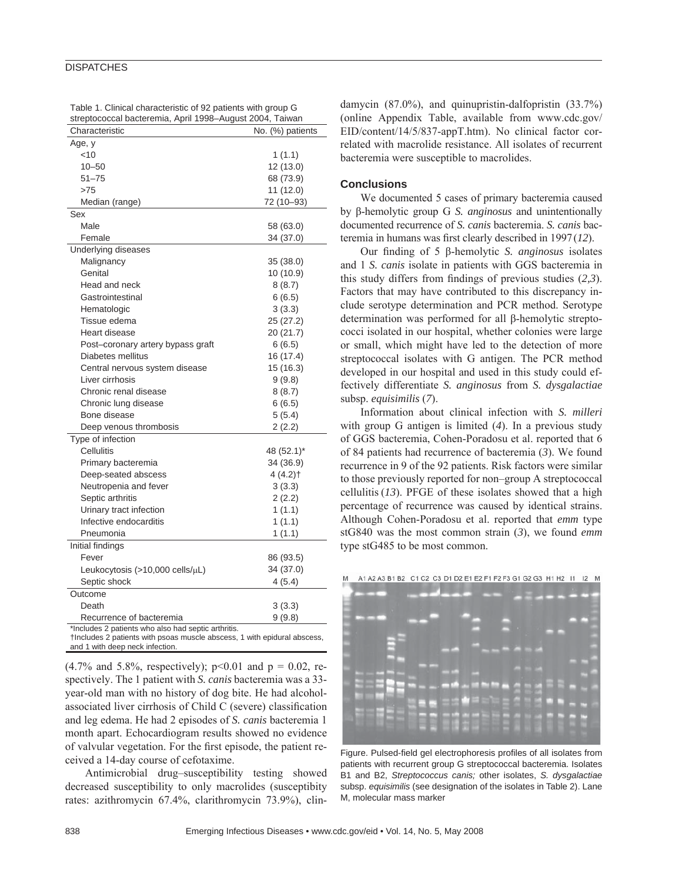### **DISPATCHES**

| Table 1. Clinical characteristic of 92 patients with group G |  |
|--------------------------------------------------------------|--|
| streptococcal bacteremia, April 1998-August 2004, Taiwan     |  |

| Characteristic                                      | No. (%) patients |
|-----------------------------------------------------|------------------|
| Age, y                                              |                  |
| $<$ 10                                              | 1(1.1)           |
| $10 - 50$                                           | 12 (13.0)        |
| $51 - 75$                                           | 68 (73.9)        |
| >75                                                 | 11 (12.0)        |
| Median (range)                                      | 72 (10-93)       |
| Sex                                                 |                  |
| Male                                                | 58 (63.0)        |
| Female                                              | 34 (37.0)        |
| Underlying diseases                                 |                  |
| Malignancy                                          | 35 (38.0)        |
| Genital                                             | 10 (10.9)        |
| Head and neck                                       | 8(8.7)           |
| Gastrointestinal                                    | 6(6.5)           |
| Hematologic                                         | 3(3.3)           |
| Tissue edema                                        | 25 (27.2)        |
| Heart disease                                       | 20 (21.7)        |
| Post-coronary artery bypass graft                   | 6(6.5)           |
| Diabetes mellitus                                   | 16 (17.4)        |
| Central nervous system disease                      | 15 (16.3)        |
| Liver cirrhosis                                     | 9(9.8)           |
| Chronic renal disease                               | 8(8.7)           |
| Chronic lung disease                                | 6(6.5)           |
| Bone disease                                        | 5(5.4)           |
| Deep venous thrombosis                              | 2(2.2)           |
| Type of infection                                   |                  |
| Cellulitis                                          | 48 (52.1)*       |
| Primary bacteremia                                  | 34 (36.9)        |
| Deep-seated abscess                                 | 4 (4.2) †        |
| Neutropenia and fever                               | 3(3.3)           |
| Septic arthritis                                    | 2(2.2)           |
| Urinary tract infection                             | 1(1.1)           |
| Infective endocarditis                              | 1(1.1)           |
| Pneumonia                                           | 1(1.1)           |
| Initial findings                                    |                  |
| Fever                                               | 86 (93.5)        |
| Leukocytosis $(>10,000$ cells/ $\mu$ L)             | 34 (37.0)        |
| Septic shock                                        | 4(5.4)           |
| Outcome                                             |                  |
| Death                                               | 3(3.3)           |
| Recurrence of bacteremia                            | 9(9.8)           |
| *Includes 2 patients who also had septic arthritis. |                  |

†Includes 2 patients with psoas muscle abscess, 1 with epidural abscess, and 1 with deep neck infection.

 $(4.7\%$  and 5.8%, respectively); p<0.01 and p = 0.02, respectively. The 1 patient with *S. canis* bacteremia was a 33 year-old man with no history of dog bite. He had alcoholassociated liver cirrhosis of Child C (severe) classification and leg edema. He had 2 episodes of *S. canis* bacteremia 1 month apart. Echocardiogram results showed no evidence of valvular vegetation. For the first episode, the patient received a 14-day course of cefotaxime.

Antimicrobial drug–susceptibility testing showed decreased susceptibility to only macrolides (susceptibity rates: azithromycin 67.4%, clarithromycin 73.9%), clindamycin (87.0%), and quinupristin-dalfopristin (33.7%) (online Appendix Table, available from www.cdc.gov/ EID/content/14/5/837-appT.htm). No clinical factor correlated with macrolide resistance. All isolates of recurrent bacteremia were susceptible to macrolides.

#### **Conclusions**

We documented 5 cases of primary bacteremia caused by β-hemolytic group G *S. anginosus* and unintentionally documented recurrence of *S. canis* bacteremia. *S. canis* bacteremia in humans was first clearly described in 1997 (12).

Our fi nding of 5 β-hemolytic *S. anginosus* isolates and 1 *S. canis* isolate in patients with GGS bacteremia in this study differs from findings of previous studies  $(2,3)$ . Factors that may have contributed to this discrepancy include serotype determination and PCR method. Serotype determination was performed for all β-hemolytic streptococci isolated in our hospital, whether colonies were large or small, which might have led to the detection of more streptococcal isolates with G antigen. The PCR method developed in our hospital and used in this study could effectively differentiate *S. anginosus* from *S. dysgalactiae* subsp. *equisimilis* (*7*).

Information about clinical infection with *S. milleri* with group G antigen is limited (*4*). In a previous study of GGS bacteremia, Cohen-Poradosu et al. reported that 6 of 84 patients had recurrence of bacteremia (*3*). We found recurrence in 9 of the 92 patients. Risk factors were similar to those previously reported for non–group A streptococcal cellulitis (*13*). PFGE of these isolates showed that a high percentage of recurrence was caused by identical strains. Although Cohen-Poradosu et al. reported that *emm* type stG840 was the most common strain (*3*), we found *emm* type stG485 to be most common.



Figure. Pulsed-field gel electrophoresis profiles of all isolates from patients with recurrent group G streptococcal bacteremia. Isolates B1 and B2, *Streptococcus canis;* other isolates, *S. dysgalactiae* subsp. *equisimilis* (see designation of the isolates in Table 2). Lane M, molecular mass marker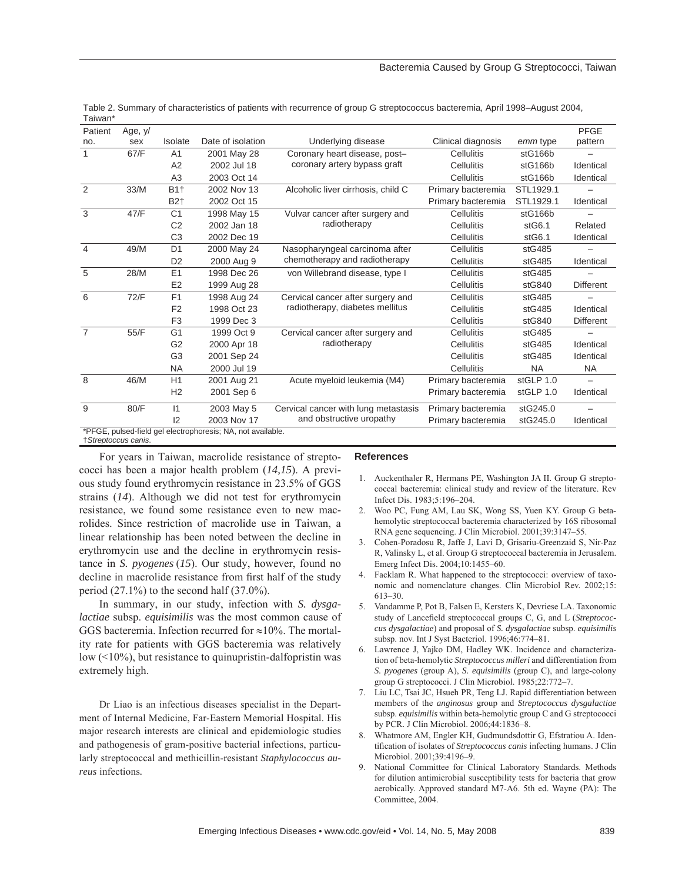#### Bacteremia Caused by Group G Streptococci, Taiwan

| Patient        | Age, y/                                                     |                |                   |                                      |                    |           | <b>PFGE</b>      |  |  |
|----------------|-------------------------------------------------------------|----------------|-------------------|--------------------------------------|--------------------|-----------|------------------|--|--|
| no.            | sex                                                         | Isolate        | Date of isolation | Underlying disease                   | Clinical diagnosis | emm type  | pattern          |  |  |
| 1              | 67/F                                                        | A <sub>1</sub> | 2001 May 28       | Coronary heart disease, post-        | Cellulitis         | stG166b   |                  |  |  |
|                |                                                             | A2             | 2002 Jul 18       | coronary artery bypass graft         | Cellulitis         | stG166b   | Identical        |  |  |
|                |                                                             | A3             | 2003 Oct 14       |                                      | Cellulitis         | stG166b   | Identical        |  |  |
| 2              | 33/M                                                        | <b>B1+</b>     | 2002 Nov 13       | Alcoholic liver cirrhosis, child C   | Primary bacteremia | STL1929.1 |                  |  |  |
|                |                                                             | B2†            | 2002 Oct 15       |                                      | Primary bacteremia | STL1929.1 | Identical        |  |  |
| 3              | 47/F                                                        | C <sub>1</sub> | 1998 May 15       | Vulvar cancer after surgery and      | Cellulitis         | stG166b   |                  |  |  |
|                |                                                             | C <sub>2</sub> | 2002 Jan 18       | radiotherapy                         | Cellulitis         | stG6.1    | Related          |  |  |
|                |                                                             | C <sub>3</sub> | 2002 Dec 19       |                                      | Cellulitis         | stG6.1    | Identical        |  |  |
| $\overline{4}$ | 49/M                                                        | D <sub>1</sub> | 2000 May 24       | Nasopharyngeal carcinoma after       | <b>Cellulitis</b>  | stG485    |                  |  |  |
|                |                                                             | D <sub>2</sub> | 2000 Aug 9        | chemotherapy and radiotherapy        | Cellulitis         | stG485    | Identical        |  |  |
| 5              | 28/M                                                        | E1             | 1998 Dec 26       | von Willebrand disease, type I       | Cellulitis         | stG485    |                  |  |  |
|                |                                                             | E <sub>2</sub> | 1999 Aug 28       |                                      | Cellulitis         | stG840    | <b>Different</b> |  |  |
| 6              | 72/F                                                        | F1             | 1998 Aug 24       | Cervical cancer after surgery and    | <b>Cellulitis</b>  | stG485    |                  |  |  |
|                |                                                             | F <sub>2</sub> | 1998 Oct 23       | radiotherapy, diabetes mellitus      | <b>Cellulitis</b>  | stG485    | Identical        |  |  |
|                |                                                             | F <sub>3</sub> | 1999 Dec 3        |                                      | Cellulitis         | stG840    | <b>Different</b> |  |  |
| $\overline{7}$ | 55/F                                                        | G <sub>1</sub> | 1999 Oct 9        | Cervical cancer after surgery and    | Cellulitis         | stG485    |                  |  |  |
|                |                                                             | G <sub>2</sub> | 2000 Apr 18       | radiotherapy                         | Cellulitis         | stG485    | Identical        |  |  |
|                |                                                             | G <sub>3</sub> | 2001 Sep 24       |                                      | Cellulitis         | stG485    | Identical        |  |  |
|                |                                                             | <b>NA</b>      | 2000 Jul 19       |                                      | Cellulitis         | <b>NA</b> | <b>NA</b>        |  |  |
| 8              | 46/M                                                        | H1             | 2001 Aug 21       | Acute myeloid leukemia (M4)          | Primary bacteremia | stGLP 1.0 |                  |  |  |
|                |                                                             | H <sub>2</sub> | 2001 Sep 6        |                                      | Primary bacteremia | stGLP 1.0 | Identical        |  |  |
| 9              | 80/F                                                        | 1              | 2003 May 5        | Cervical cancer with lung metastasis | Primary bacteremia | stG245.0  |                  |  |  |
|                |                                                             | 12             | 2003 Nov 17       | and obstructive uropathy             | Primary bacteremia | stG245.0  | Identical        |  |  |
|                | *PFGE, pulsed-field gel electrophoresis; NA, not available. |                |                   |                                      |                    |           |                  |  |  |

Table 2. Summary of characteristics of patients with recurrence of group G streptococcus bacteremia, April 1998–August 2004, Taiwan\*

†*Streptoccus canis*.

For years in Taiwan, macrolide resistance of streptococci has been a major health problem (*14,15*). A previous study found erythromycin resistance in 23.5% of GGS strains (*14*). Although we did not test for erythromycin resistance, we found some resistance even to new macrolides. Since restriction of macrolide use in Taiwan, a linear relationship has been noted between the decline in erythromycin use and the decline in erythromycin resistance in *S. pyogenes* (*15*). Our study, however, found no decline in macrolide resistance from first half of the study period  $(27.1\%)$  to the second half  $(37.0\%)$ .

In summary, in our study, infection with *S. dysgalactiae* subsp. *equisimilis* was the most common cause of GGS bacteremia. Infection recurred for  $\approx$ 10%. The mortality rate for patients with GGS bacteremia was relatively low  $(10\%)$ , but resistance to quinupristin-dalfopristin was extremely high.

Dr Liao is an infectious diseases specialist in the Department of Internal Medicine, Far-Eastern Memorial Hospital. His major research interests are clinical and epidemiologic studies and pathogenesis of gram-positive bacterial infections, particularly streptococcal and methicillin-resistant *Staphylococcus aureus* infections*.*

#### **References**

- 1. Auckenthaler R, Hermans PE, Washington JA II. Group G streptococcal bacteremia: clinical study and review of the literature. Rev Infect Dis. 1983;5:196–204.
- 2. Woo PC, Fung AM, Lau SK, Wong SS, Yuen KY. Group G betahemolytic streptococcal bacteremia characterized by 16S ribosomal RNA gene sequencing. J Clin Microbiol. 2001;39:3147–55.
- 3. Cohen-Poradosu R, Jaffe J, Lavi D, Grisariu-Greenzaid S, Nir-Paz R, Valinsky L, et al. Group G streptococcal bacteremia in Jerusalem. Emerg Infect Dis. 2004;10:1455–60.
- 4. Facklam R. What happened to the streptococci: overview of taxonomic and nomenclature changes. Clin Microbiol Rev. 2002;15: 613–30.
- 5. Vandamme P, Pot B, Falsen E, Kersters K, Devriese LA. Taxonomic study of Lancefield streptococcal groups C, G, and L (Streptococ*cus dysgalactiae*) and proposal of *S. dysgalactiae* subsp. *equisimilis* subsp. nov. Int J Syst Bacteriol. 1996;46:774–81.
- 6. Lawrence J, Yajko DM, Hadley WK. Incidence and characterization of beta-hemolytic *Streptococcus milleri* and differentiation from *S. pyogenes* (group A), *S. equisimilis* (group C), and large-colony group G streptococci. J Clin Microbiol. 1985;22:772–7.
- 7. Liu LC, Tsai JC, Hsueh PR, Teng LJ. Rapid differentiation between members of the *anginosus* group and *Streptococcus dysgalactiae* subsp. *equisimilis* within beta-hemolytic group C and G streptococci by PCR. J Clin Microbiol. 2006;44:1836–8.
- 8. Whatmore AM, Engler KH, Gudmundsdottir G, Efstratiou A. Identification of isolates of *Streptococcus canis* infecting humans. J Clin Microbiol. 2001;39:4196–9.
- 9. National Committee for Clinical Laboratory Standards. Methods for dilution antimicrobial susceptibility tests for bacteria that grow aerobically. Approved standard M7-A6. 5th ed. Wayne (PA): The Committee, 2004.